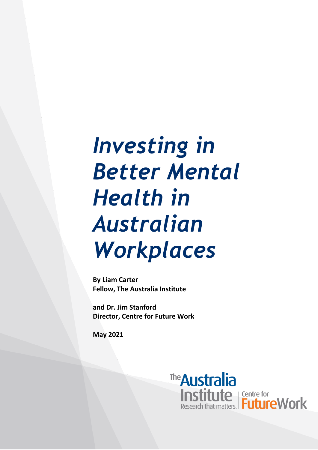# *Investing in Better Mental Health in Australian Workplaces*

**By Liam Carter Fellow, The Australia Institute**

**and Dr. Jim Stanford Director, Centre for Future Work**

**May 2021**

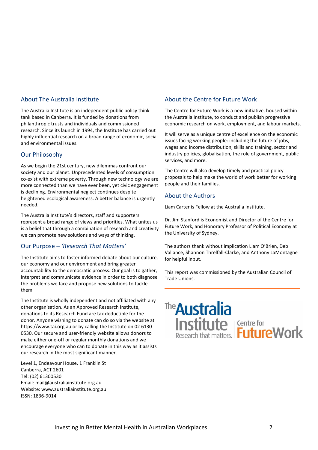#### About The Australia Institute

The Australia Institute is an independent public policy think tank based in Canberra. It is funded by donations from philanthropic trusts and individuals and commissioned research. Since its launch in 1994, the Institute has carried out highly influential research on a broad range of economic, social and environmental issues.

#### Our Philosophy

As we begin the 21st century, new dilemmas confront our society and our planet. Unprecedented levels of consumption co-exist with extreme poverty. Through new technology we are more connected than we have ever been, yet civic engagement is declining. Environmental neglect continues despite heightened ecological awareness. A better balance is urgently needed.

The Australia Institute's directors, staff and supporters represent a broad range of views and priorities. What unites us is a belief that through a combination of research and creativity we can promote new solutions and ways of thinking.

#### Our Purpose – *'Research That Matters'*

The Institute aims to foster informed debate about our culture, our economy and our environment and bring greater accountability to the democratic process. Our goal is to gather, interpret and communicate evidence in order to both diagnose the problems we face and propose new solutions to tackle them.

The Institute is wholly independent and not affiliated with any other organisation. As an Approved Research Institute, donations to its Research Fund are tax deductible for the donor. Anyone wishing to donate can do so via the website at https://www.tai.org.au or by calling the Institute on 02 6130 0530. Our secure and user-friendly website allows donors to make either one-off or regular monthly donations and we encourage everyone who can to donate in this way as it assists our research in the most significant manner.

Level 1, Endeavour House, 1 Franklin St Canberra, ACT 2601 Tel: (02) 61300530 Email: mail@australiainstitute.org.au Website: www.australiainstitute.org.au ISSN: 1836-9014

#### About the Centre for Future Work

The Centre for Future Work is a new initiative, housed within the Australia Institute, to conduct and publish progressive economic research on work, employment, and labour markets.

It will serve as a unique centre of excellence on the economic issues facing working people: including the future of jobs, wages and income distribution, skills and training, sector and industry policies, globalisation, the role of government, public services, and more.

The Centre will also develop timely and practical policy proposals to help make the world of work better for working people and their families.

#### About the Authors

Liam Carter is Fellow at the Australia Institute.

Dr. Jim Stanford is Economist and Director of the Centre for Future Work, and Honorary Professor of Political Economy at the University of Sydney.

The authors thank without implication Liam O'Brien, Deb Vallance, Shannon Threlfall-Clarke, and Anthony LaMontagne for helpful input.

This report was commissioned by the Australian Council of Trade Unions.

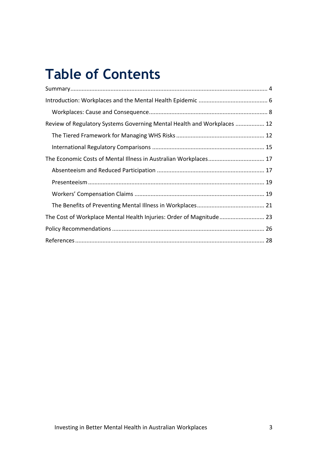## **Table of Contents**

| Review of Regulatory Systems Governing Mental Health and Workplaces  12 |  |
|-------------------------------------------------------------------------|--|
|                                                                         |  |
|                                                                         |  |
|                                                                         |  |
|                                                                         |  |
|                                                                         |  |
|                                                                         |  |
|                                                                         |  |
| The Cost of Workplace Mental Health Injuries: Order of Magnitude 23     |  |
|                                                                         |  |
|                                                                         |  |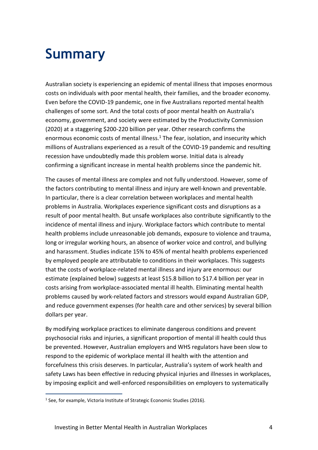## <span id="page-3-0"></span>**Summary**

Australian society is experiencing an epidemic of mental illness that imposes enormous costs on individuals with poor mental health, their families, and the broader economy. Even before the COVID-19 pandemic, one in five Australians reported mental health challenges of some sort. And the total costs of poor mental health on Australia's economy, government, and society were estimated by the Productivity Commission (2020) at a staggering \$200-220 billion per year. Other research confirms the enormous economic costs of mental illness.<sup>1</sup> The fear, isolation, and insecurity which millions of Australians experienced as a result of the COVID-19 pandemic and resulting recession have undoubtedly made this problem worse. Initial data is already confirming a significant increase in mental health problems since the pandemic hit.

The causes of mental illness are complex and not fully understood. However, some of the factors contributing to mental illness and injury are well-known and preventable. In particular, there is a clear correlation between workplaces and mental health problems in Australia. Workplaces experience significant costs and disruptions as a result of poor mental health. But unsafe workplaces also contribute significantly to the incidence of mental illness and injury. Workplace factors which contribute to mental health problems include unreasonable job demands, exposure to violence and trauma, long or irregular working hours, an absence of worker voice and control, and bullying and harassment. Studies indicate 15% to 45% of mental health problems experienced by employed people are attributable to conditions in their workplaces. This suggests that the costs of workplace-related mental illness and injury are enormous: our estimate (explained below) suggests at least \$15.8 billion to \$17.4 billion per year in costs arising from workplace-associated mental ill health. Eliminating mental health problems caused by work-related factors and stressors would expand Australian GDP, and reduce government expenses (for health care and other services) by several billion dollars per year.

By modifying workplace practices to eliminate dangerous conditions and prevent psychosocial risks and injuries, a significant proportion of mental ill health could thus be prevented. However, Australian employers and WHS regulators have been slow to respond to the epidemic of workplace mental ill health with the attention and forcefulness this crisis deserves. In particular, Australia's system of work health and safety Laws has been effective in reducing physical injuries and illnesses in workplaces, by imposing explicit and well-enforced responsibilities on employers to systematically

<sup>&</sup>lt;sup>1</sup> See, for example, Victoria Institute of Strategic Economic Studies (2016).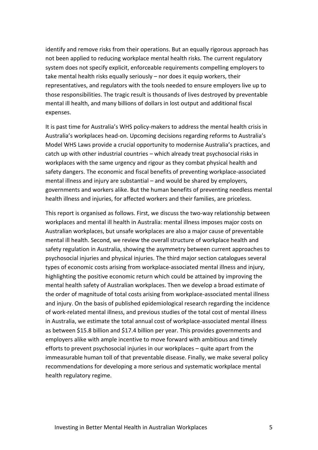identify and remove risks from their operations. But an equally rigorous approach has not been applied to reducing workplace mental health risks. The current regulatory system does not specify explicit, enforceable requirements compelling employers to take mental health risks equally seriously – nor does it equip workers, their representatives, and regulators with the tools needed to ensure employers live up to those responsibilities. The tragic result is thousands of lives destroyed by preventable mental ill health, and many billions of dollars in lost output and additional fiscal expenses.

It is past time for Australia's WHS policy-makers to address the mental health crisis in Australia's workplaces head-on. Upcoming decisions regarding reforms to Australia's Model WHS Laws provide a crucial opportunity to modernise Australia's practices, and catch up with other industrial countries – which already treat psychosocial risks in workplaces with the same urgency and rigour as they combat physical health and safety dangers. The economic and fiscal benefits of preventing workplace-associated mental illness and injury are substantial – and would be shared by employers, governments and workers alike. But the human benefits of preventing needless mental health illness and injuries, for affected workers and their families, are priceless.

This report is organised as follows. First, we discuss the two-way relationship between workplaces and mental ill health in Australia: mental illness imposes major costs on Australian workplaces, but unsafe workplaces are also a major cause of preventable mental ill health. Second, we review the overall structure of workplace health and safety regulation in Australia, showing the asymmetry between current approaches to psychosocial injuries and physical injuries. The third major section catalogues several types of economic costs arising from workplace-associated mental illness and injury, highlighting the positive economic return which could be attained by improving the mental health safety of Australian workplaces. Then we develop a broad estimate of the order of magnitude of total costs arising from workplace-associated mental illness and injury. On the basis of published epidemiological research regarding the incidence of work-related mental illness, and previous studies of the total cost of mental illness in Australia, we estimate the total annual cost of workplace-associated mental illness as between \$15.8 billion and \$17.4 billion per year. This provides governments and employers alike with ample incentive to move forward with ambitious and timely efforts to prevent psychosocial injuries in our workplaces – quite apart from the immeasurable human toll of that preventable disease. Finally, we make several policy recommendations for developing a more serious and systematic workplace mental health regulatory regime.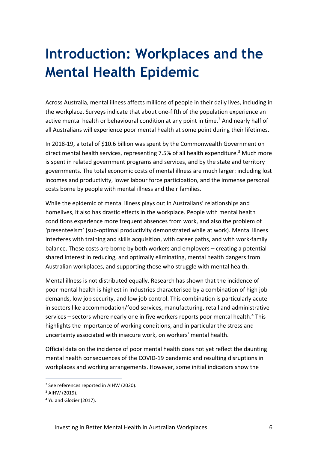## <span id="page-5-0"></span>**Introduction: Workplaces and the Mental Health Epidemic**

Across Australia, mental illness affects millions of people in their daily lives, including in the workplace. Surveys indicate that about one-fifth of the population experience an active mental health or behavioural condition at any point in time. <sup>2</sup> And nearly half of all Australians will experience poor mental health at some point during their lifetimes.

In 2018-19, a total of \$10.6 billion was spent by the Commonwealth Government on direct mental health services, representing 7.5% of all health expenditure.<sup>3</sup> Much more is spent in related government programs and services, and by the state and territory governments. The total economic costs of mental illness are much larger: including lost incomes and productivity, lower labour force participation, and the immense personal costs borne by people with mental illness and their families.

While the epidemic of mental illness plays out in Australians' relationships and homelives, it also has drastic effects in the workplace. People with mental health conditions experience more frequent absences from work, and also the problem of 'presenteeism' (sub-optimal productivity demonstrated while at work). Mental illness interferes with training and skills acquisition, with career paths, and with work-family balance. These costs are borne by both workers and employers – creating a potential shared interest in reducing, and optimally eliminating, mental health dangers from Australian workplaces, and supporting those who struggle with mental health.

Mental illness is not distributed equally. Research has shown that the incidence of poor mental health is highest in industries characterised by a combination of high job demands, low job security, and low job control. This combination is particularly acute in sectors like accommodation/food services, manufacturing, retail and administrative services – sectors where nearly one in five workers reports poor mental health.<sup>4</sup> This highlights the importance of working conditions, and in particular the stress and uncertainty associated with insecure work, on workers' mental health.

Official data on the incidence of poor mental health does not yet reflect the daunting mental health consequences of the COVID-19 pandemic and resulting disruptions in workplaces and working arrangements. However, some initial indicators show the

<sup>&</sup>lt;sup>2</sup> See references reported in AIHW (2020).

<sup>3</sup> AIHW (2019).

<sup>4</sup> Yu and Glozier (2017).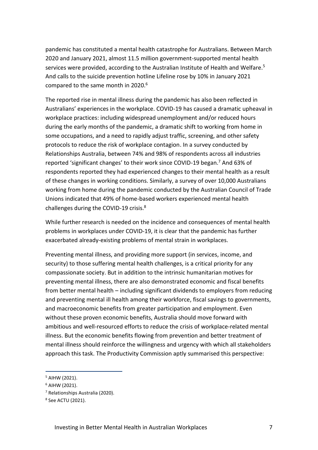pandemic has constituted a mental health catastrophe for Australians. Between March 2020 and January 2021, almost 11.5 million government-supported mental health services were provided, according to the Australian Institute of Health and Welfare.<sup>5</sup> And calls to the suicide prevention hotline Lifeline rose by 10% in January 2021 compared to the same month in 2020. 6

The reported rise in mental illness during the pandemic has also been reflected in Australians' experiences in the workplace. COVID-19 has caused a dramatic upheaval in workplace practices: including widespread unemployment and/or reduced hours during the early months of the pandemic, a dramatic shift to working from home in some occupations, and a need to rapidly adjust traffic, screening, and other safety protocols to reduce the risk of workplace contagion. In a survey conducted by Relationships Australia, between 74% and 98% of respondents across all industries reported 'significant changes' to their work since COVID-19 began.<sup>7</sup> And 63% of respondents reported they had experienced changes to their mental health as a result of these changes in working conditions. Similarly, a survey of over 10,000 Australians working from home during the pandemic conducted by the Australian Council of Trade Unions indicated that 49% of home-based workers experienced mental health challenges during the COVID-19 crisis.<sup>8</sup>

While further research is needed on the incidence and consequences of mental health problems in workplaces under COVID-19, it is clear that the pandemic has further exacerbated already-existing problems of mental strain in workplaces.

Preventing mental illness, and providing more support (in services, income, and security) to those suffering mental health challenges, is a critical priority for any compassionate society. But in addition to the intrinsic humanitarian motives for preventing mental illness, there are also demonstrated economic and fiscal benefits from better mental health – including significant dividends to employers from reducing and preventing mental ill health among their workforce, fiscal savings to governments, and macroeconomic benefits from greater participation and employment. Even without these proven economic benefits, Australia should move forward with ambitious and well-resourced efforts to reduce the crisis of workplace-related mental illness. But the economic benefits flowing from prevention and better treatment of mental illness should reinforce the willingness and urgency with which all stakeholders approach this task. The Productivity Commission aptly summarised this perspective:

<sup>5</sup> AIHW (2021).

 $6$  AIHW (2021).

<sup>7</sup> Relationships Australia (2020).

<sup>8</sup> See ACTU (2021).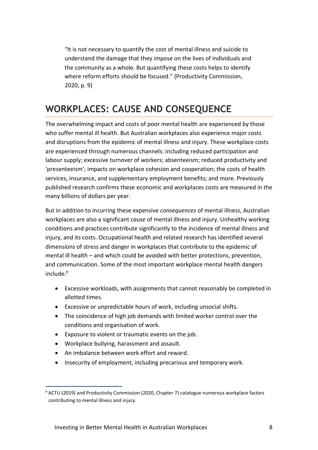"It is not necessary to quantify the cost of mental illness and suicide to understand the damage that they impose on the lives of individuals and the community as a whole. But quantifying these costs helps to identify where reform efforts should be focused." (Productivity Commission, 2020, p. 9)

### <span id="page-7-0"></span>**WORKPLACES: CAUSE AND CONSEQUENCE**

The overwhelming impact and costs of poor mental health are experienced by those who suffer mental ill health. But Australian workplaces also experience major costs and disruptions from the epidemic of mental illness and injury. These workplace costs are experienced through numerous channels: including reduced participation and labour supply; excessive turnover of workers; absenteeism; reduced productivity and 'presenteeism'; impacts on workplace cohesion and cooperation; the costs of health services, insurance, and supplementary employment benefits; and more. Previously published research confirms these economic and workplaces costs are measured in the many billions of dollars per year.

But in addition to incurring these expensive *consequences* of mental illness, Australian workplaces are also a significant *cause* of mental illness and injury. Unhealthy working conditions and practices contribute significantly to the incidence of mental illness and injury, and its costs. Occupational health and related research has identified several dimensions of stress and danger in workplaces that contribute to the epidemic of mental ill health – and which could be avoided with better protections, prevention, and communication. Some of the most important workplace mental health dangers include:<sup>9</sup>

- Excessive workloads, with assignments that cannot reasonably be completed in allotted times.
- Excessive or unpredictable hours of work, including unsocial shifts.
- The coincidence of high job demands with limited worker control over the conditions and organisation of work.
- Exposure to violent or traumatic events on the job.
- Workplace bullying, harassment and assault.
- An imbalance between work effort and reward.
- Insecurity of employment, including precarious and temporary work.

<sup>&</sup>lt;sup>9</sup> ACTU (2019) and Productivity Commission (2020, Chapter 7) catalogue numerous workplace factors contributing to mental illness and injury.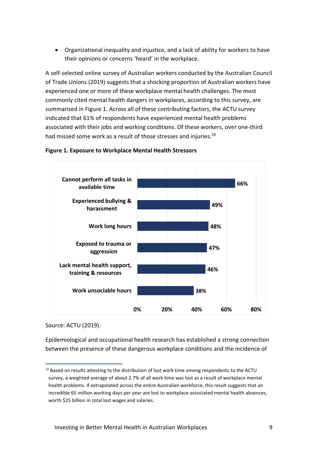• Organizational inequality and injustice, and a lack of ability for workers to have their opinions or concerns 'heard' in the workplace.

A self-selected online survey of Australian workers conducted by the Australian Council of Trade Unions (2019) suggests that a shocking proportion of Australian workers have experienced one or more of these workplace mental health challenges. The most commonly cited mental health dangers in workplaces, according to this survey, are summarised in Figure 1. Across all of these contributing factors, the ACTU survey indicated that 61% of respondents have experienced mental health problems associated with their jobs and working conditions. Of these workers, over one-third had missed some work as a result of those stresses and injuries.<sup>10</sup>



#### **Figure 1. Exposure to Workplace Mental Health Stressors**

Source: ACTU (2019).

Epidemiological and occupational health research has established a strong connection between the presence of these dangerous workplace conditions and the incidence of

 $10$  Based on results attesting to the distribution of lost work time among respondents to the ACTU survey, a weighted average of about 2.7% of all work time was lost as a result of workplace mental health problems. If extrapolated across the entire Australian workforce, this result suggests that an incredible 65 million working days per year are lost to workplace-associated mental health absences, worth \$25 billion in total lost wages and salaries.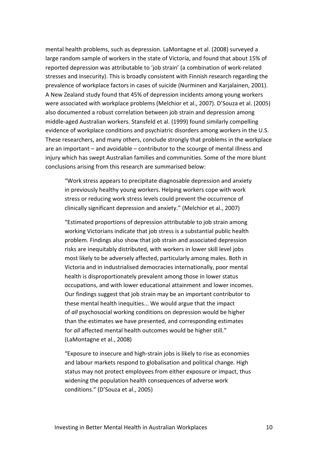mental health problems, such as depression. LaMontagne et al. (2008) surveyed a large random sample of workers in the state of Victoria, and found that about 15% of reported depression was attributable to 'job strain' (a combination of work-related stresses and insecurity). This is broadly consistent with Finnish research regarding the prevalence of workplace factors in cases of suicide (Nurminen and Karjalainen, 2001). A New Zealand study found that 45% of depression incidents among young workers were associated with workplace problems (Melchior et al., 2007). D'Souza et al. (2005) also documented a robust correlation between job strain and depression among middle-aged Australian workers. Stansfeld et al. (1999) found similarly compelling evidence of workplace conditions and psychiatric disorders among workers in the U.S. These researchers, and many others, conclude strongly that problems in the workplace are an important – and avoidable – contributor to the scourge of mental illness and injury which has swept Australian families and communities. Some of the more blunt conclusions arising from this research are summarised below:

"Work stress appears to precipitate diagnosable depression and anxiety in previously healthy young workers. Helping workers cope with work stress or reducing work stress levels could prevent the occurrence of clinically significant depression and anxiety." (Melchior et al., 2007)

"Estimated proportions of depression attributable to job strain among working Victorians indicate that job stress is a substantial public health problem. Findings also show that job strain and associated depression risks are inequitably distributed, with workers in lower skill level jobs most likely to be adversely affected, particularly among males. Both in Victoria and in industrialised democracies internationally, poor mental health is disproportionately prevalent among those in lower status occupations, and with lower educational attainment and lower incomes. Our findings suggest that job strain may be an important contributor to these mental health inequities... We would argue that the impact of *all* psychosocial working conditions on depression would be higher than the estimates we have presented, and corresponding estimates for *all* affected mental health outcomes would be higher still." (LaMontagne et al., 2008)

"Exposure to insecure and high‐strain jobs is likely to rise as economies and labour markets respond to globalisation and political change. High status may not protect employees from either exposure or impact, thus widening the population health consequences of adverse work conditions." (D'Souza et al., 2005)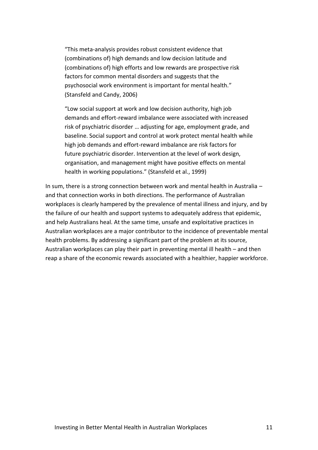"This meta-analysis provides robust consistent evidence that (combinations of) high demands and low decision latitude and (combinations of) high efforts and low rewards are prospective risk factors for common mental disorders and suggests that the psychosocial work environment is important for mental health." (Stansfeld and Candy, 2006)

"Low social support at work and low decision authority, high job demands and effort-reward imbalance were associated with increased risk of psychiatric disorder … adjusting for age, employment grade, and baseline. Social support and control at work protect mental health while high job demands and effort-reward imbalance are risk factors for future psychiatric disorder. Intervention at the level of work design, organisation, and management might have positive effects on mental health in working populations." (Stansfeld et al., 1999)

In sum, there is a strong connection between work and mental health in Australia – and that connection works in both directions. The performance of Australian workplaces is clearly hampered by the prevalence of mental illness and injury, and by the failure of our health and support systems to adequately address that epidemic, and help Australians heal. At the same time, unsafe and exploitative practices in Australian workplaces are a major contributor to the incidence of preventable mental health problems. By addressing a significant part of the problem at its source, Australian workplaces can play their part in preventing mental ill health – and then reap a share of the economic rewards associated with a healthier, happier workforce.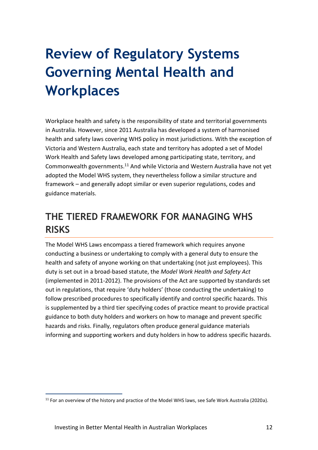## <span id="page-11-0"></span>**Review of Regulatory Systems Governing Mental Health and Workplaces**

Workplace health and safety is the responsibility of state and territorial governments in Australia. However, since 2011 Australia has developed a system of harmonised health and safety laws covering WHS policy in most jurisdictions. With the exception of Victoria and Western Australia, each state and territory has adopted a set of Model Work Health and Safety laws developed among participating state, territory, and Commonwealth governments.<sup>11</sup> And while Victoria and Western Australia have not yet adopted the Model WHS system, they nevertheless follow a similar structure and framework – and generally adopt similar or even superior regulations, codes and guidance materials.

### <span id="page-11-1"></span>**THE TIERED FRAMEWORK FOR MANAGING WHS RISKS**

The Model WHS Laws encompass a tiered framework which requires anyone conducting a business or undertaking to comply with a general duty to ensure the health and safety of anyone working on that undertaking (not just employees). This duty is set out in a broad-based statute, the *Model Work Health and Safety Act* (implemented in 2011-2012). The provisions of the Act are supported by standards set out in regulations, that require 'duty holders' (those conducting the undertaking) to follow prescribed procedures to specifically identify and control specific hazards. This is supplemented by a third tier specifying codes of practice meant to provide practical guidance to both duty holders and workers on how to manage and prevent specific hazards and risks. Finally, regulators often produce general guidance materials informing and supporting workers and duty holders in how to address specific hazards.

<sup>&</sup>lt;sup>11</sup> For an overview of the history and practice of the Model WHS laws, see Safe Work Australia (2020a).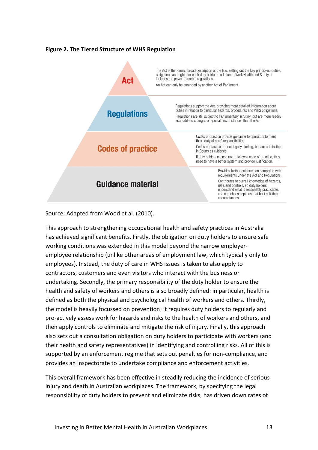#### **Figure 2. The Tiered Structure of WHS Regulation**



Source: Adapted from Wood et al. (2010).

This approach to strengthening occupational health and safety practices in Australia has achieved significant benefits. Firstly, the obligation on duty holders to ensure safe working conditions was extended in this model beyond the narrow employeremployee relationship (unlike other areas of employment law, which typically only to employees). Instead, the duty of care in WHS issues is taken to also apply to contractors, customers and even visitors who interact with the business or undertaking. Secondly, the primary responsibility of the duty holder to ensure the health and safety of workers and others is also broadly defined: in particular, health is defined as both the physical and psychological health of workers and others. Thirdly, the model is heavily focussed on prevention: it requires duty holders to regularly and pro-actively assess work for hazards and risks to the health of workers and others, and then apply controls to eliminate and mitigate the risk of injury. Finally, this approach also sets out a consultation obligation on duty holders to participate with workers (and their health and safety representatives) in identifying and controlling risks. All of this is supported by an enforcement regime that sets out penalties for non-compliance, and provides an inspectorate to undertake compliance and enforcement activities.

This overall framework has been effective in steadily reducing the incidence of serious injury and death in Australian workplaces. The framework, by specifying the legal responsibility of duty holders to prevent and eliminate risks, has driven down rates of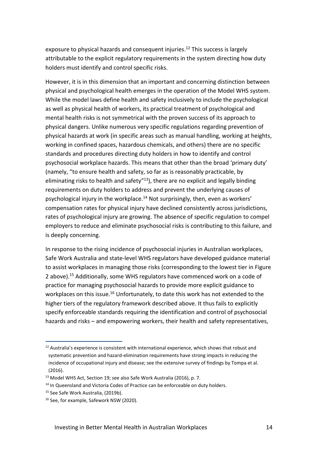exposure to physical hazards and consequent injuries. <sup>12</sup> This success is largely attributable to the explicit regulatory requirements in the system directing how duty holders must identify and control specific risks.

However, it is in this dimension that an important and concerning distinction between physical and psychological health emerges in the operation of the Model WHS system. While the model laws define health and safety inclusively to include the psychological as well as physical health of workers, its practical treatment of psychological and mental health risks is not symmetrical with the proven success of its approach to physical dangers. Unlike numerous very specific regulations regarding prevention of physical hazards at work (in specific areas such as manual handling, working at heights, working in confined spaces, hazardous chemicals, and others) there are no specific standards and procedures directing duty holders in how to identify and control psychosocial workplace hazards. This means that other than the broad 'primary duty' (namely, "to ensure health and safety, so far as is reasonably practicable, by eliminating risks to health and safety"<sup>13</sup>), there are no explicit and legally binding requirements on duty holders to address and prevent the underlying causes of psychological injury in the workplace.<sup>14</sup> Not surprisingly, then, even as workers' compensation rates for physical injury have declined consistently across jurisdictions, rates of psychological injury are growing. The absence of specific regulation to compel employers to reduce and eliminate psychosocial risks is contributing to this failure, and is deeply concerning.

In response to the rising incidence of psychosocial injuries in Australian workplaces, Safe Work Australia and state-level WHS regulators have developed guidance material to assist workplaces in managing those risks (corresponding to the lowest tier in Figure 2 above). <sup>15</sup> Additionally, some WHS regulators have commenced work on a code of practice for managing psychosocial hazards to provide more explicit guidance to workplaces on this issue.<sup>16</sup> Unfortunately, to date this work has not extended to the higher tiers of the regulatory framework described above. It thus fails to explicitly specify enforceable standards requiring the identification and control of psychosocial hazards and risks – and empowering workers, their health and safety representatives,

 $12$  Australia's experience is consistent with international experience, which shows that robust and systematic prevention and hazard-elimination requirements have strong impacts in reducing the incidence of occupational injury and disease; see the extensive survey of findings by Tompa et al. (2016).

<sup>&</sup>lt;sup>13</sup> Model WHS Act, Section 19; see also Safe Work Australia (2016), p. 7.

<sup>&</sup>lt;sup>14</sup> In Queensland and Victoria Codes of Practice can be enforceable on duty holders.

<sup>&</sup>lt;sup>15</sup> See Safe Work Australia, (2019b).

<sup>&</sup>lt;sup>16</sup> See, for example, Safework NSW (2020).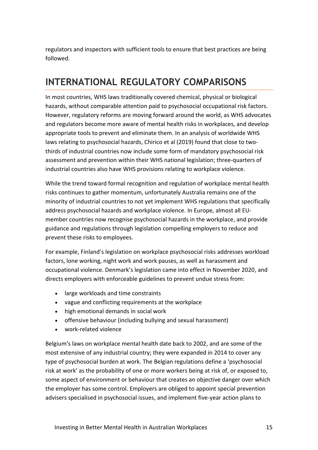regulators and inspectors with sufficient tools to ensure that best practices are being followed.

### <span id="page-14-0"></span>**INTERNATIONAL REGULATORY COMPARISONS**

In most countries, WHS laws traditionally covered chemical, physical or biological hazards, without comparable attention paid to psychosocial occupational risk factors. However, regulatory reforms are moving forward around the world, as WHS advocates and regulators become more aware of mental health risks in workplaces, and develop appropriate tools to prevent and eliminate them. In an analysis of worldwide WHS laws relating to psychosocial hazards, Chirico et al (2019) found that close to twothirds of industrial countries now include some form of mandatory psychosocial risk assessment and prevention within their WHS national legislation; three-quarters of industrial countries also have WHS provisions relating to workplace violence.

While the trend toward formal recognition and regulation of workplace mental health risks continues to gather momentum, unfortunately Australia remains one of the minority of industrial countries to not yet implement WHS regulations that specifically address psychosocial hazards and workplace violence. In Europe, almost all EUmember countries now recognise psychosocial hazards in the workplace, and provide guidance and regulations through legislation compelling employers to reduce and prevent these risks to employees.

For example, Finland's legislation on workplace psychosocial risks addresses workload factors, lone working, night work and work pauses, as well as harassment and occupational violence. Denmark's legislation came into effect in November 2020, and directs employers with enforceable guidelines to prevent undue stress from:

- large workloads and time constraints
- vague and conflicting requirements at the workplace
- high emotional demands in social work
- offensive behaviour (including bullying and sexual harassment)
- work-related violence

Belgium's laws on workplace mental health date back to 2002, and are some of the most extensive of any industrial country; they were expanded in 2014 to cover any type of psychosocial burden at work. The Belgian regulations define a 'psychosocial risk at work' as the probability of one or more workers being at risk of, or exposed to, some aspect of environment or behaviour that creates an objective danger over which the employer has some control. Employers are obliged to appoint special prevention advisers specialised in psychosocial issues, and implement five-year action plans to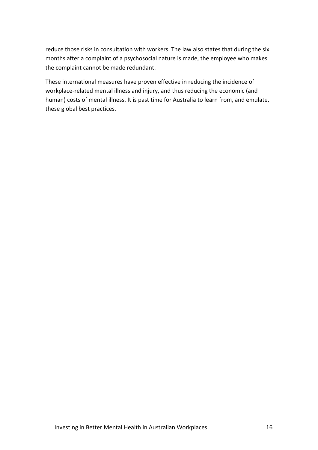reduce those risks in consultation with workers. The law also states that during the six months after a complaint of a psychosocial nature is made, the employee who makes the complaint cannot be made redundant.

These international measures have proven effective in reducing the incidence of workplace-related mental illness and injury, and thus reducing the economic (and human) costs of mental illness. It is past time for Australia to learn from, and emulate, these global best practices.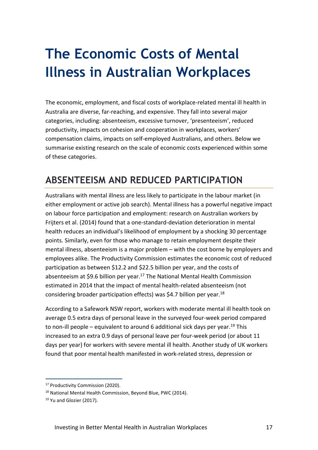## <span id="page-16-0"></span>**The Economic Costs of Mental Illness in Australian Workplaces**

The economic, employment, and fiscal costs of workplace-related mental ill health in Australia are diverse, far-reaching, and expensive. They fall into several major categories, including: absenteeism, excessive turnover, 'presenteeism', reduced productivity, impacts on cohesion and cooperation in workplaces, workers' compensation claims, impacts on self-employed Australians, and others. Below we summarise existing research on the scale of economic costs experienced within some of these categories.

### <span id="page-16-1"></span>**ABSENTEEISM AND REDUCED PARTICIPATION**

Australians with mental illness are less likely to participate in the labour market (in either employment or active job search). Mental illness has a powerful negative impact on labour force participation and employment: research on Australian workers by Frijters et al. (2014) found that a one‐standard‐deviation deterioration in mental health reduces an individual's likelihood of employment by a shocking 30 percentage points. Similarly, even for those who manage to retain employment despite their mental illness, absenteeism is a major problem – with the cost borne by employers and employees alike. The Productivity Commission estimates the economic cost of reduced participation as between \$12.2 and \$22.5 billion per year, and the costs of absenteeism at \$9.6 billion per year.<sup>17</sup> The National Mental Health Commission estimated in 2014 that the impact of mental health-related absenteeism (not considering broader participation effects) was \$4.7 billion per year.<sup>18</sup>

According to a Safework NSW report, workers with moderate mental ill health took on average 0.5 extra days of personal leave in the surveyed four-week period compared to non-ill people – equivalent to around 6 additional sick days per year.<sup>19</sup> This increased to an extra 0.9 days of personal leave per four-week period (or about 11 days per year) for workers with severe mental ill health. Another study of UK workers found that poor mental health manifested in work-related stress, depression or

<sup>&</sup>lt;sup>17</sup> Productivity Commission (2020).

<sup>&</sup>lt;sup>18</sup> National Mental Health Commission, Beyond Blue, PWC (2014).

<sup>&</sup>lt;sup>19</sup> Yu and Glozier (2017).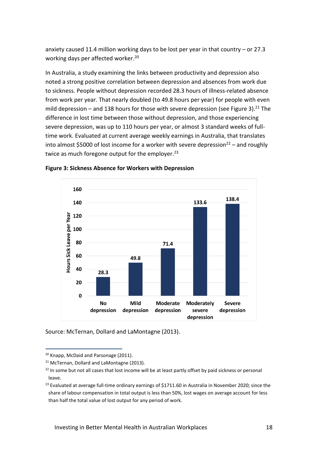anxiety caused 11.4 million working days to be lost per year in that country – or 27.3 working days per affected worker.<sup>20</sup>

In Australia, a study examining the links between productivity and depression also noted a strong positive correlation between depression and absences from work due to sickness. People without depression recorded 28.3 hours of illness-related absence from work per year. That nearly doubled (to 49.8 hours per year) for people with even mild depression – and 138 hours for those with severe depression (see Figure 3).<sup>21</sup> The difference in lost time between those without depression, and those experiencing severe depression, was up to 110 hours per year, or almost 3 standard weeks of fulltime work. Evaluated at current average weekly earnings in Australia, that translates into almost \$5000 of lost income for a worker with severe depression<sup>22</sup> – and roughly twice as much foregone output for the employer.<sup>23</sup>



**Figure 3: Sickness Absence for Workers with Depression**

Source: McTernan, Dollard and LaMontagne (2013).

<sup>&</sup>lt;sup>20</sup> Knapp, McDaid and Parsonage (2011).

<sup>&</sup>lt;sup>21</sup> McTernan, Dollard and LaMontagne (2013).

<sup>&</sup>lt;sup>22</sup> In some but not all cases that lost income will be at least partly offset by paid sickness or personal leave.

 $^{23}$  Evaluated at average full-time ordinary earnings of \$1711.60 in Australia in November 2020; since the share of labour compensation in total output is less than 50%, lost wages on average account for less than half the total value of lost output for any period of work.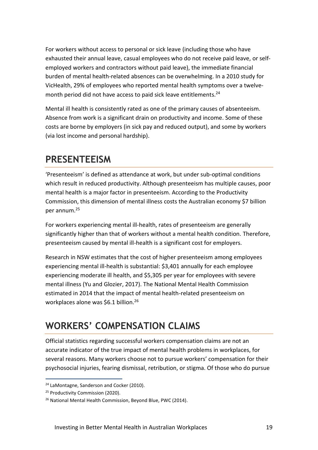For workers without access to personal or sick leave (including those who have exhausted their annual leave, casual employees who do not receive paid leave, or selfemployed workers and contractors without paid leave), the immediate financial burden of mental health-related absences can be overwhelming. In a 2010 study for VicHealth, 29% of employees who reported mental health symptoms over a twelvemonth period did not have access to paid sick leave entitlements. 24

Mental ill health is consistently rated as one of the primary causes of absenteeism. Absence from work is a significant drain on productivity and income. Some of these costs are borne by employers (in sick pay and reduced output), and some by workers (via lost income and personal hardship).

### <span id="page-18-0"></span>**PRESENTEEISM**

'Presenteeism' is defined as attendance at work, but under sub-optimal conditions which result in reduced productivity. Although presenteeism has multiple causes, poor mental health is a major factor in presenteeism. According to the Productivity Commission, this dimension of mental illness costs the Australian economy \$7 billion per annum.<sup>25</sup>

For workers experiencing mental ill-health, rates of presenteeism are generally significantly higher than that of workers without a mental health condition. Therefore, presenteeism caused by mental ill-health is a significant cost for employers.

Research in NSW estimates that the cost of higher presenteeism among employees experiencing mental ill-health is substantial: \$3,401 annually for each employee experiencing moderate ill health, and \$5,305 per year for employees with severe mental illness (Yu and Glozier, 2017). The National Mental Health Commission estimated in 2014 that the impact of mental health-related presenteeism on workplaces alone was \$6.1 billion.<sup>26</sup>

### <span id="page-18-1"></span>**WORKERS' COMPENSATION CLAIMS**

Official statistics regarding successful workers compensation claims are not an accurate indicator of the true impact of mental health problems in workplaces, for several reasons. Many workers choose not to pursue workers' compensation for their psychosocial injuries, fearing dismissal, retribution, or stigma. Of those who do pursue

<sup>&</sup>lt;sup>24</sup> LaMontagne, Sanderson and Cocker (2010).

<sup>&</sup>lt;sup>25</sup> Productivity Commission (2020).

<sup>&</sup>lt;sup>26</sup> National Mental Health Commission, Beyond Blue, PWC (2014).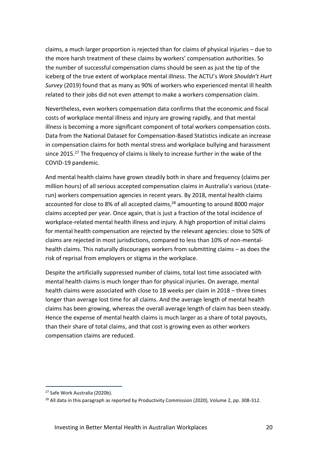claims, a much larger proportion is rejected than for claims of physical injuries – due to the more harsh treatment of these claims by workers' compensation authorities. So the number of successful compensation clams should be seen as just the tip of the iceberg of the true extent of workplace mental illness. The ACTU's *Work Shouldn't Hurt Survey* (2019) found that as many as 90% of workers who experienced mental ill health related to their jobs did not even attempt to make a workers compensation claim.

Nevertheless, even workers compensation data confirms that the economic and fiscal costs of workplace mental illness and injury are growing rapidly, and that mental illness is becoming a more significant component of total workers compensation costs. Data from the National Dataset for Compensation-Based Statistics indicate an increase in compensation claims for both mental stress and workplace bullying and harassment since 2015.<sup>27</sup> The frequency of claims is likely to increase further in the wake of the COVID-19 pandemic.

And mental health claims have grown steadily both in share and frequency (claims per million hours) of all serious accepted compensation claims in Australia's various (staterun) workers compensation agencies in recent years. By 2018, mental health claims accounted for close to 8% of all accepted claims, <sup>28</sup> amounting to around 8000 major claims accepted per year. Once again, that is just a fraction of the total incidence of workplace-related mental health illness and injury. A high proportion of initial claims for mental health compensation are rejected by the relevant agencies: close to 50% of claims are rejected in most jurisdictions, compared to less than 10% of non-mentalhealth claims. This naturally discourages workers from submitting claims – as does the risk of reprisal from employers or stigma in the workplace.

Despite the artificially suppressed number of claims, total lost time associated with mental health claims is much longer than for physical injuries. On average, mental health claims were associated with close to 18 weeks per claim in 2018 – three times longer than average lost time for all claims. And the average length of mental health claims has been growing, whereas the overall average length of claim has been steady. Hence the expense of mental health claims is much larger as a share of total payouts, than their share of total claims, and that cost is growing even as other workers compensation claims are reduced.

<sup>27</sup> Safe Work Australia (2020b).

<sup>&</sup>lt;sup>28</sup> All data in this paragraph as reported by Productivity Commission (2020), Volume 2, pp. 308-312.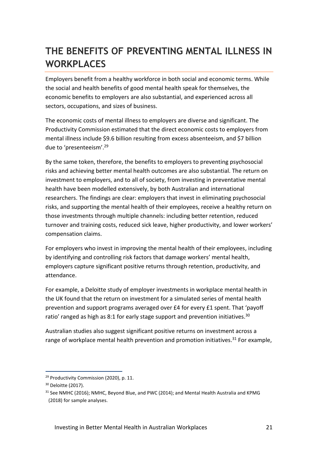### <span id="page-20-0"></span>**THE BENEFITS OF PREVENTING MENTAL ILLNESS IN WORKPLACES**

Employers benefit from a healthy workforce in both social and economic terms. While the social and health benefits of good mental health speak for themselves, the economic benefits to employers are also substantial, and experienced across all sectors, occupations, and sizes of business.

The economic costs of mental illness to employers are diverse and significant. The Productivity Commission estimated that the direct economic costs to employers from mental illness include \$9.6 billion resulting from excess absenteeism, and \$7 billion due to 'presenteeism'. 29

By the same token, therefore, the benefits to employers to preventing psychosocial risks and achieving better mental health outcomes are also substantial. The return on investment to employers, and to all of society, from investing in preventative mental health have been modelled extensively, by both Australian and international researchers. The findings are clear: employers that invest in eliminating psychosocial risks, and supporting the mental health of their employees, receive a healthy return on those investments through multiple channels: including better retention, reduced turnover and training costs, reduced sick leave, higher productivity, and lower workers' compensation claims.

For employers who invest in improving the mental health of their employees, including by identifying and controlling risk factors that damage workers' mental health, employers capture significant positive returns through retention, productivity, and attendance.

For example, a Deloitte study of employer investments in workplace mental health in the UK found that the return on investment for a simulated series of mental health prevention and support programs averaged over £4 for every £1 spent. That 'payoff ratio' ranged as high as 8:1 for early stage support and prevention initiatives.<sup>30</sup>

Australian studies also suggest significant positive returns on investment across a range of workplace mental health prevention and promotion initiatives.<sup>31</sup> For example,

<sup>&</sup>lt;sup>29</sup> Productivity Commission (2020), p. 11.

<sup>30</sup> Deloitte (2017).

<sup>&</sup>lt;sup>31</sup> See NMHC (2016); NMHC, Beyond Blue, and PWC (2014); and Mental Health Australia and KPMG (2018) for sample analyses.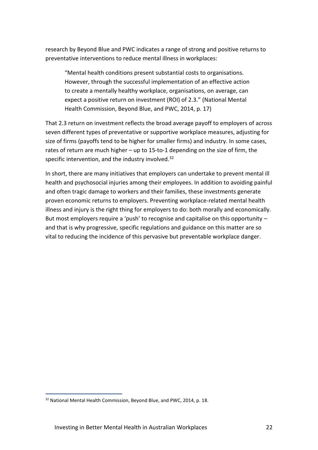research by Beyond Blue and PWC indicates a range of strong and positive returns to preventative interventions to reduce mental illness in workplaces:

"Mental health conditions present substantial costs to organisations. However, through the successful implementation of an effective action to create a mentally healthy workplace, organisations, on average, can expect a positive return on investment (ROI) of 2.3." (National Mental Health Commission, Beyond Blue, and PWC, 2014, p. 17)

That 2.3 return on investment reflects the broad average payoff to employers of across seven different types of preventative or supportive workplace measures, adjusting for size of firms (payoffs tend to be higher for smaller firms) and industry. In some cases, rates of return are much higher – up to 15-to-1 depending on the size of firm, the specific intervention, and the industry involved. $32$ 

In short, there are many initiatives that employers can undertake to prevent mental ill health and psychosocial injuries among their employees. In addition to avoiding painful and often tragic damage to workers and their families, these investments generate proven economic returns to employers. Preventing workplace-related mental health illness and injury is the right thing for employers to do: both morally and economically. But most employers require a 'push' to recognise and capitalise on this opportunity and that is why progressive, specific regulations and guidance on this matter are so vital to reducing the incidence of this pervasive but preventable workplace danger.

<sup>&</sup>lt;sup>32</sup> National Mental Health Commission, Beyond Blue, and PWC, 2014, p. 18.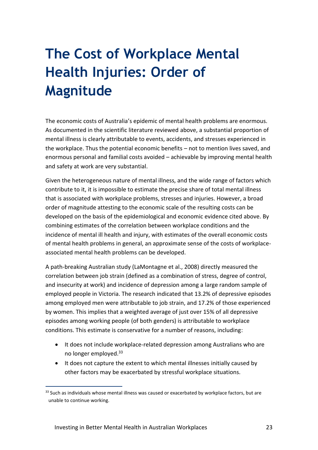## <span id="page-22-0"></span>**The Cost of Workplace Mental Health Injuries: Order of Magnitude**

The economic costs of Australia's epidemic of mental health problems are enormous. As documented in the scientific literature reviewed above, a substantial proportion of mental illness is clearly attributable to events, accidents, and stresses experienced in the workplace. Thus the potential economic benefits – not to mention lives saved, and enormous personal and familial costs avoided – achievable by improving mental health and safety at work are very substantial.

Given the heterogeneous nature of mental illness, and the wide range of factors which contribute to it, it is impossible to estimate the precise share of total mental illness that is associated with workplace problems, stresses and injuries. However, a broad order of magnitude attesting to the economic scale of the resulting costs can be developed on the basis of the epidemiological and economic evidence cited above. By combining estimates of the correlation between workplace conditions and the incidence of mental ill health and injury, with estimates of the overall economic costs of mental health problems in general, an approximate sense of the costs of workplaceassociated mental health problems can be developed.

A path-breaking Australian study (LaMontagne et al., 2008) directly measured the correlation between job strain (defined as a combination of stress, degree of control, and insecurity at work) and incidence of depression among a large random sample of employed people in Victoria. The research indicated that 13.2% of depressive episodes among employed men were attributable to job strain, and 17.2% of those experienced by women. This implies that a weighted average of just over 15% of all depressive episodes among working people (of both genders) is attributable to workplace conditions. This estimate is conservative for a number of reasons, including:

- It does not include workplace-related depression among Australians who are no longer employed.<sup>33</sup>
- It does not capture the extent to which mental illnesses initially caused by other factors may be exacerbated by stressful workplace situations.

<sup>33</sup> Such as individuals whose mental illness was caused or exacerbated by workplace factors, but are unable to continue working.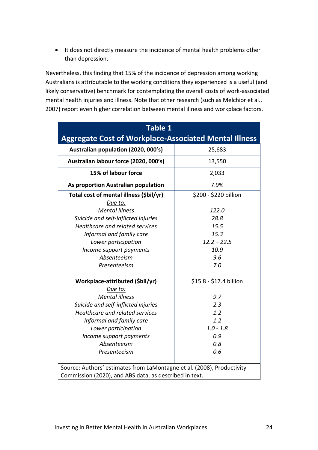• It does not directly measure the incidence of mental health problems other than depression.

Nevertheless, this finding that 15% of the incidence of depression among working Australians is attributable to the working conditions they experienced is a useful (and likely conservative) benchmark for contemplating the overall costs of work-associated mental health injuries and illness. Note that other research (such as Melchior et al., 2007) report even higher correlation between mental illness and workplace factors.

| <b>Table 1</b>                                                         |                         |  |
|------------------------------------------------------------------------|-------------------------|--|
| <b>Aggregate Cost of Workplace-Associated Mental Illness</b>           |                         |  |
| Australian population (2020, 000's)                                    | 25,683                  |  |
| Australian labour force (2020, 000's)                                  | 13,550                  |  |
| 15% of labour force                                                    | 2,033                   |  |
| As proportion Australian population                                    | 7.9%                    |  |
| Total cost of mental illness (\$bil/yr)                                | \$200 - \$220 billion   |  |
| Due to:                                                                |                         |  |
| <b>Mental illness</b>                                                  | 122.0                   |  |
| Suicide and self-inflicted injuries                                    | 28.8                    |  |
| Healthcare and related services                                        | 15.5                    |  |
| Informal and family care                                               | 15.3                    |  |
| Lower participation                                                    | $12.2 - 22.5$           |  |
| Income support payments                                                | 10.9                    |  |
| Absenteeism                                                            | 9.6                     |  |
| Presenteeism                                                           | 7.0                     |  |
| Workplace-attributed (\$bil/yr)                                        | \$15.8 - \$17.4 billion |  |
| Due to:                                                                |                         |  |
| <b>Mental illness</b>                                                  | 9.7                     |  |
| Suicide and self-inflicted injuries                                    | 2.3                     |  |
| <b>Healthcare and related services</b>                                 | 1.2                     |  |
| Informal and family care                                               | 1.2                     |  |
| Lower participation                                                    | $1.0 - 1.8$             |  |
| Income support payments                                                | 0.9                     |  |
| Absenteeism                                                            | 0.8                     |  |
| Presenteeism                                                           | 0.6                     |  |
| Source: Authors' estimates from LaMontagne et al. (2008), Productivity |                         |  |
| Commission (2020), and ABS data, as described in text.                 |                         |  |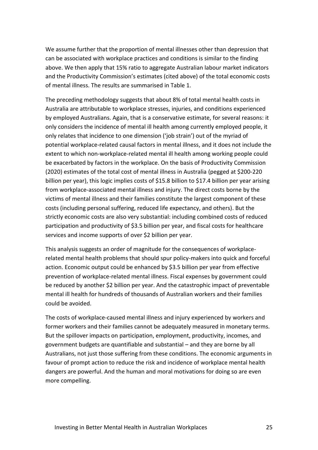We assume further that the proportion of mental illnesses other than depression that can be associated with workplace practices and conditions is similar to the finding above. We then apply that 15% ratio to aggregate Australian labour market indicators and the Productivity Commission's estimates (cited above) of the total economic costs of mental illness. The results are summarised in Table 1.

The preceding methodology suggests that about 8% of total mental health costs in Australia are attributable to workplace stresses, injuries, and conditions experienced by employed Australians. Again, that is a conservative estimate, for several reasons: it only considers the incidence of mental ill health among currently employed people, it only relates that incidence to one dimension ('job strain') out of the myriad of potential workplace-related causal factors in mental illness, and it does not include the extent to which non-workplace-related mental ill health among working people could be exacerbated by factors in the workplace. On the basis of Productivity Commission (2020) estimates of the total cost of mental illness in Australia (pegged at \$200-220 billion per year), this logic implies costs of \$15.8 billion to \$17.4 billion per year arising from workplace-associated mental illness and injury. The direct costs borne by the victims of mental illness and their families constitute the largest component of these costs (including personal suffering, reduced life expectancy, and others). But the strictly economic costs are also very substantial: including combined costs of reduced participation and productivity of \$3.5 billion per year, and fiscal costs for healthcare services and income supports of over \$2 billion per year.

This analysis suggests an order of magnitude for the consequences of workplacerelated mental health problems that should spur policy-makers into quick and forceful action. Economic output could be enhanced by \$3.5 billion per year from effective prevention of workplace-related mental illness. Fiscal expenses by government could be reduced by another \$2 billion per year. And the catastrophic impact of preventable mental ill health for hundreds of thousands of Australian workers and their families could be avoided.

The costs of workplace-caused mental illness and injury experienced by workers and former workers and their families cannot be adequately measured in monetary terms. But the spillover impacts on participation, employment, productivity, incomes, and government budgets are quantifiable and substantial – and they are borne by all Australians, not just those suffering from these conditions. The economic arguments in favour of prompt action to reduce the risk and incidence of workplace mental health dangers are powerful. And the human and moral motivations for doing so are even more compelling.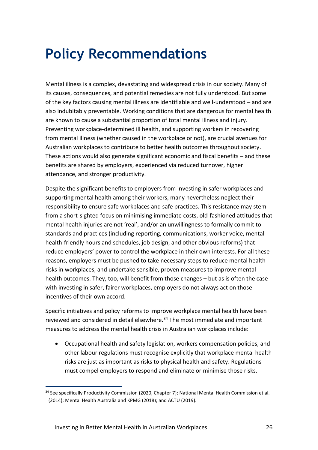### <span id="page-25-0"></span>**Policy Recommendations**

Mental illness is a complex, devastating and widespread crisis in our society. Many of its causes, consequences, and potential remedies are not fully understood. But some of the key factors causing mental illness are identifiable and well-understood – and are also indubitably preventable. Working conditions that are dangerous for mental health are known to cause a substantial proportion of total mental illness and injury. Preventing workplace-determined ill health, and supporting workers in recovering from mental illness (whether caused in the workplace or not), are crucial avenues for Australian workplaces to contribute to better health outcomes throughout society. These actions would also generate significant economic and fiscal benefits – and these benefits are shared by employers, experienced via reduced turnover, higher attendance, and stronger productivity.

Despite the significant benefits to employers from investing in safer workplaces and supporting mental health among their workers, many nevertheless neglect their responsibility to ensure safe workplaces and safe practices. This resistance may stem from a short-sighted focus on minimising immediate costs, old-fashioned attitudes that mental health injuries are not 'real', and/or an unwillingness to formally commit to standards and practices (including reporting, communications, worker voice, mentalhealth-friendly hours and schedules, job design, and other obvious reforms) that reduce employers' power to control the workplace in their own interests. For all these reasons, employers must be pushed to take necessary steps to reduce mental health risks in workplaces, and undertake sensible, proven measures to improve mental health outcomes. They, too, will benefit from those changes – but as is often the case with investing in safer, fairer workplaces, employers do not always act on those incentives of their own accord.

Specific initiatives and policy reforms to improve workplace mental health have been reviewed and considered in detail elsewhere.<sup>34</sup> The most immediate and important measures to address the mental health crisis in Australian workplaces include:

• Occupational health and safety legislation, workers compensation policies, and other labour regulations must recognise explicitly that workplace mental health risks are just as important as risks to physical health and safety. Regulations must compel employers to respond and eliminate or minimise those risks.

<sup>&</sup>lt;sup>34</sup> See specifically Productivity Commission (2020, Chapter 7); National Mental Health Commission et al. (2014); Mental Health Australia and KPMG (2018); and ACTU (2019).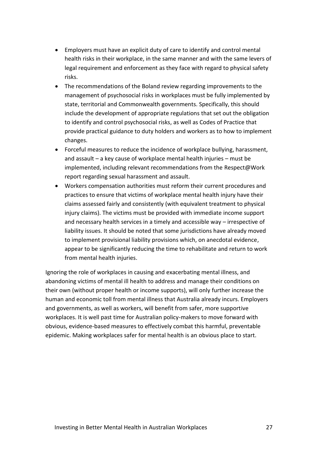- Employers must have an explicit duty of care to identify and control mental health risks in their workplace, in the same manner and with the same levers of legal requirement and enforcement as they face with regard to physical safety risks.
- The recommendations of the Boland review regarding improvements to the management of psychosocial risks in workplaces must be fully implemented by state, territorial and Commonwealth governments. Specifically, this should include the development of appropriate regulations that set out the obligation to identify and control psychosocial risks, as well as Codes of Practice that provide practical guidance to duty holders and workers as to how to implement changes.
- Forceful measures to reduce the incidence of workplace bullying, harassment, and assault – a key cause of workplace mental health injuries – must be implemented, including relevant recommendations from the Respect@Work report regarding sexual harassment and assault.
- Workers compensation authorities must reform their current procedures and practices to ensure that victims of workplace mental health injury have their claims assessed fairly and consistently (with equivalent treatment to physical injury claims). The victims must be provided with immediate income support and necessary health services in a timely and accessible way – irrespective of liability issues. It should be noted that some jurisdictions have already moved to implement provisional liability provisions which, on anecdotal evidence, appear to be significantly reducing the time to rehabilitate and return to work from mental health injuries.

Ignoring the role of workplaces in causing and exacerbating mental illness, and abandoning victims of mental ill health to address and manage their conditions on their own (without proper health or income supports), will only further increase the human and economic toll from mental illness that Australia already incurs. Employers and governments, as well as workers, will benefit from safer, more supportive workplaces. It is well past time for Australian policy-makers to move forward with obvious, evidence-based measures to effectively combat this harmful, preventable epidemic. Making workplaces safer for mental health is an obvious place to start.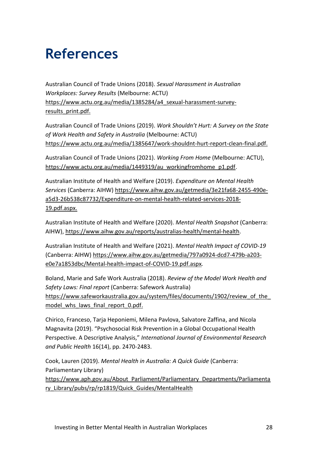## <span id="page-27-0"></span>**References**

Australian Council of Trade Unions (2018). *Sexual Harassment in Australian Workplaces: Survey Results* (Melbourne: ACTU) [https://www.actu.org.au/media/1385284/a4\\_sexual-harassment-survey](https://www.actu.org.au/media/1385284/a4_sexual-harassment-survey-results_print.pdf)[results\\_print.pdf.](https://www.actu.org.au/media/1385284/a4_sexual-harassment-survey-results_print.pdf)

Australian Council of Trade Unions (2019). *Work Shouldn't Hurt: A Survey on the State of Work Health and Safety in Australia* (Melbourne: ACTU) [https://www.actu.org.au/media/1385647/work-shouldnt-hurt-report-clean-final.pdf.](https://www.actu.org.au/media/1385647/work-shouldnt-hurt-report-clean-final.pdf)

Australian Council of Trade Unions (2021). *Working From Home* (Melbourne: ACTU), [https://www.actu.org.au/media/1449319/au\\_workingfromhome\\_p1.pdf.](https://www.actu.org.au/media/1449319/au_workingfromhome_p1.pdf)

Australian Institute of Health and Welfare (2019). *Expenditure on Mental Health Services* (Canberra: AIHW) [https://www.aihw.gov.au/getmedia/3e21fa68-2455-490e](https://www.aihw.gov.au/getmedia/3e21fa68-2455-490e-a5d3-26b538c87732/Expenditure-on-mental-health-related-services-2018-19.pdf.aspx)[a5d3-26b538c87732/Expenditure-on-mental-health-related-services-2018-](https://www.aihw.gov.au/getmedia/3e21fa68-2455-490e-a5d3-26b538c87732/Expenditure-on-mental-health-related-services-2018-19.pdf.aspx) [19.pdf.aspx.](https://www.aihw.gov.au/getmedia/3e21fa68-2455-490e-a5d3-26b538c87732/Expenditure-on-mental-health-related-services-2018-19.pdf.aspx)

Australian Institute of Health and Welfare (2020). *Mental Health Snapshot* (Canberra: AIHW), [https://www.aihw.gov.au/reports/australias-health/mental-health.](https://www.aihw.gov.au/reports/australias-health/mental-health)

Australian Institute of Health and Welfare (2021). *Mental Health Impact of COVID-19* (Canberra: AIHW) [https://www.aihw.gov.au/getmedia/797a0924-dcd7-479b-a203](https://www.aihw.gov.au/getmedia/797a0924-dcd7-479b-a203-e0e7a1853dbc/Mental-health-impact-of-COVID-19.pdf.aspx) [e0e7a1853dbc/Mental-health-impact-of-COVID-19.pdf.aspx](https://www.aihw.gov.au/getmedia/797a0924-dcd7-479b-a203-e0e7a1853dbc/Mental-health-impact-of-COVID-19.pdf.aspx)*.*

Boland, Marie and Safe Work Australia (2018). *Review of the Model Work Health and Safety Laws: Final report* (Canberra: Safework Australia) [https://www.safeworkaustralia.gov.au/system/files/documents/1902/review\\_of\\_the\\_](https://www.safeworkaustralia.gov.au/system/files/documents/1902/review_of_the_model_whs_laws_final_report_0.pdf) model whs laws final report 0.pdf.

Chirico, Franceso, Tarja Heponiemi, Milena Pavlova, Salvatore Zaffina, and Nicola Magnavita (2019). "Psychosocial Risk Prevention in a Global Occupational Health Perspective. A Descriptive Analysis," *International Journal of Environmental Research and Public Health* 16(14), pp. 2470-2483.

Cook, Lauren (2019). *Mental Health in Australia: A Quick Guide* (Canberra: Parliamentary Library)

[https://www.aph.gov.au/About\\_Parliament/Parliamentary\\_Departments/Parliamenta](https://www.aph.gov.au/About_Parliament/Parliamentary_Departments/Parliamentary_Library/pubs/rp/rp1819/Quick_Guides/MentalHealth) [ry\\_Library/pubs/rp/rp1819/Quick\\_Guides/MentalHealth](https://www.aph.gov.au/About_Parliament/Parliamentary_Departments/Parliamentary_Library/pubs/rp/rp1819/Quick_Guides/MentalHealth)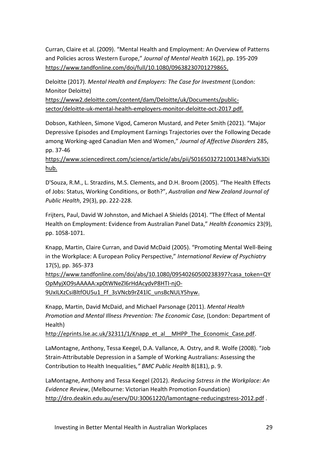Curran, Claire et al. (2009). "Mental Health and Employment: An Overview of Patterns and Policies across Western Europe," *Journal of Mental Health* 16(2), pp. 195-209 [https://www.tandfonline.com/doi/full/10.1080/09638230701279865.](https://www.tandfonline.com/doi/full/10.1080/09638230701279865)

Deloitte (2017). *Mental Health and Employers: The Case for Investment* (London: Monitor Deloitte)

[https://www2.deloitte.com/content/dam/Deloitte/uk/Documents/public](https://www2.deloitte.com/content/dam/Deloitte/uk/Documents/public-sector/deloitte-uk-mental-health-employers-monitor-deloitte-oct-2017.pdf)[sector/deloitte-uk-mental-health-employers-monitor-deloitte-oct-2017.pdf.](https://www2.deloitte.com/content/dam/Deloitte/uk/Documents/public-sector/deloitte-uk-mental-health-employers-monitor-deloitte-oct-2017.pdf)

Dobson, Kathleen, Simone Vigod, Cameron Mustard, and Peter Smith (2021). "Major Depressive Episodes and Employment Earnings Trajectories over the Following Decade among Working-aged Canadian Men and Women," *Journal of Affective Disorders* 285, pp. 37-46

[https://www.sciencedirect.com/science/article/abs/pii/S0165032721001348?via%3Di](https://www.sciencedirect.com/science/article/abs/pii/S0165032721001348?via%3Dihub) [hub.](https://www.sciencedirect.com/science/article/abs/pii/S0165032721001348?via%3Dihub)

D'Souza, R.M., L. Strazdins, M.S. Clements, and D.H. Broom (2005). "The Health Effects of Jobs: Status, Working Conditions, or Both?", *Australian and New Zealand Journal of Public Health*, 29(3), pp. 222-228.

Frijters, Paul, David W Johnston, and Michael A Shields (2014). "The Effect of Mental Health on Employment: Evidence from Australian Panel Data," *Health Economics* 23(9), pp. 1058-1071.

Knapp, Martin, Claire Curran, and David McDaid (2005). "Promoting Mental Well-Being in the Workplace: A European Policy Perspective," *International Review of Psychiatry* 17(5), pp. 365-373

[https://www.tandfonline.com/doi/abs/10.1080/09540260500238397?casa\\_token=QY](https://www.tandfonline.com/doi/abs/10.1080/09540260500238397?casa_token=QYOpMyjXO9sAAAAA:xp0tWNeZl6rHdAcydvP8HTI-njO-9UxILXzCsiBltfOU5u1_Ff_3sVNcb9rZ41lC_unsBcNULY5hyw) [OpMyjXO9sAAAAA:xp0tWNeZl6rHdAcydvP8HTI-njO-](https://www.tandfonline.com/doi/abs/10.1080/09540260500238397?casa_token=QYOpMyjXO9sAAAAA:xp0tWNeZl6rHdAcydvP8HTI-njO-9UxILXzCsiBltfOU5u1_Ff_3sVNcb9rZ41lC_unsBcNULY5hyw)

[9UxILXzCsiBltfOU5u1\\_Ff\\_3sVNcb9rZ41lC\\_unsBcNULY5hyw.](https://www.tandfonline.com/doi/abs/10.1080/09540260500238397?casa_token=QYOpMyjXO9sAAAAA:xp0tWNeZl6rHdAcydvP8HTI-njO-9UxILXzCsiBltfOU5u1_Ff_3sVNcb9rZ41lC_unsBcNULY5hyw)

Knapp, Martin, David McDaid, and Michael Parsonage (2011). *Mental Health Promotion and Mental Illness Prevention: The Economic Case,* (London: Department of Health)

http://eprints.lse.ac.uk/32311/1/Knapp\_et\_al\_MHPP\_The\_Economic\_Case.pdf.

LaMontagne, Anthony, Tessa Keegel, D.A. Vallance, A. Ostry, and R. Wolfe (2008). "Job Strain-Attributable Depression in a Sample of Working Australians: Assessing the Contribution to Health Inequalities*," BMC Public Health* 8(181), p. 9.

LaMontagne, Anthony and Tessa Keegel (2012). *Reducing Sstress in the Workplace: An Evidence Review*, (Melbourne: Victorian Health Promotion Foundation) <http://dro.deakin.edu.au/eserv/DU:30061220/lamontagne-reducingstress-2012.pdf> .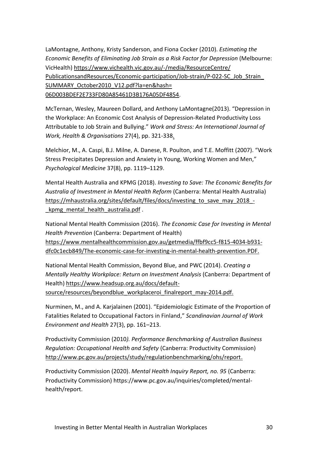LaMontagne, Anthony, Kristy Sanderson, and Fiona Cocker (2010). *Estimating the Economic Benefits of Eliminating Job Strain as a Risk Factor for Depression* (Melbourne: VicHealth) [https://www.vichealth.vic.gov.au/-/media/ResourceCentre/](https://www.vichealth.vic.gov.au/-/media/ResourceCentre/%20PublicationsandResources/Economic-participation/Job-strain/P-022-SC_Job_Strain_%20SUMMARY_October2010_V12.pdf?la=en&hash=%2006D003BDEF2E733FD80A85461D3B176A05DF4854)  [PublicationsandResources/Economic-participation/Job-strain/P-022-SC\\_Job\\_Strain\\_](https://www.vichealth.vic.gov.au/-/media/ResourceCentre/%20PublicationsandResources/Economic-participation/Job-strain/P-022-SC_Job_Strain_%20SUMMARY_October2010_V12.pdf?la=en&hash=%2006D003BDEF2E733FD80A85461D3B176A05DF4854)  SUMMARY\_October2010\_V12.pdf?la=en&hash= [06D003BDEF2E733FD80A85461D3B176A05DF4854.](https://www.vichealth.vic.gov.au/-/media/ResourceCentre/%20PublicationsandResources/Economic-participation/Job-strain/P-022-SC_Job_Strain_%20SUMMARY_October2010_V12.pdf?la=en&hash=%2006D003BDEF2E733FD80A85461D3B176A05DF4854)

McTernan, Wesley, Maureen Dollard, and Anthony LaMontagne(2013). "Depression in the Workplace: An Economic Cost Analysis of Depression-Related Productivity Loss Attributable to Job Strain and Bullying." *Work and Stress: An International Journal of Work, Health & Organisations* 27(4), pp. 321-338.

Melchior, M., A. Caspi, B.J. Milne, A. Danese, R. Poulton, and T.E. Moffitt (2007). "Work Stress Precipitates Depression and Anxiety in Young, Working Women and Men," *Psychological Medicine* 37(8), pp. 1119–1129.

Mental Health Australia and KPMG (2018). *Investing to Save: The Economic Benefits for Australia of Investment in Mental Health Reform* (Canberra: Mental Health Australia) https://mhaustralia.org/sites/default/files/docs/investing to save may 2018 kpmg mental health australia.pdf.

National Mental Health Commission (2016). *The Economic Case for Investing in Mental Health Prevention* (Canberra: Department of Health) [https://www.mentalhealthcommission.gov.au/getmedia/ffbf9cc5-f815-4034-b931](https://www.mentalhealthcommission.gov.au/getmedia/ffbf9cc5-f815-4034-b931-dfc0c1ecb849/The-economic-case-for-investing-in-mental-health-prevention.PDF) [dfc0c1ecb849/The-economic-case-for-investing-in-mental-health-prevention.PDF.](https://www.mentalhealthcommission.gov.au/getmedia/ffbf9cc5-f815-4034-b931-dfc0c1ecb849/The-economic-case-for-investing-in-mental-health-prevention.PDF)

National Mental Health Commission, Beyond Blue, and PWC (2014). *Creating a Mentally Healthy Workplace: Return on Investment Analysis* (Canberra: Department of Health[\) https://www.headsup.org.au/docs/default-](https://www.headsup.org.au/docs/default-source/resources/beyondblue_workplaceroi_finalreport_may-2014.pdf)

[source/resources/beyondblue\\_workplaceroi\\_finalreport\\_may-2014.pdf.](https://www.headsup.org.au/docs/default-source/resources/beyondblue_workplaceroi_finalreport_may-2014.pdf)

Nurminen, M., and A. Karjalainen (2001). "Epidemiologic Estimate of the Proportion of Fatalities Related to Occupational Factors in Finland," *Scandinavian Journal of Work Environment and Health* 27(3), pp. 161–213.

Productivity Commission (2010*). Performance Benchmarking of Australian Business Regulation: Occupational Health and Safety* (Canberra: Productivity Commission) [http://www.pc.gov.au/projects/study/regulationbenchmarking/ohs/report.](http://www.pc.gov.au/projects/study/regulationbenchmarking/ohs/report)

Productivity Commission (2020). *Mental Health Inquiry Report, no. 95* (Canberra: Productivity Commission) https://www.pc.gov.au/inquiries/completed/mentalhealth/report.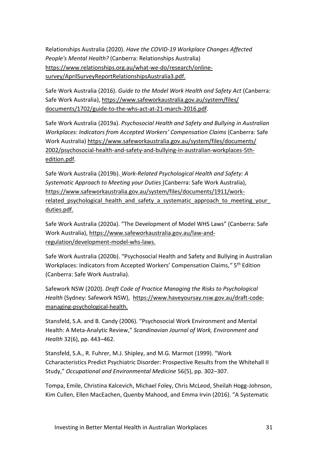Relationships Australia (2020). *Have the COVID-19 Workplace Changes Affected People's Mental Health?* (Canberra: Relationships Australia) [https://www.relationships.org.au/what-we-do/research/online](https://www.relationships.org.au/what-we-do/research/online-survey/AprilSurveyReportRelationshipsAustralia3.pdf)[survey/AprilSurveyReportRelationshipsAustralia3.pdf.](https://www.relationships.org.au/what-we-do/research/online-survey/AprilSurveyReportRelationshipsAustralia3.pdf)

Safe Work Australia (2016). *Guide to the Model Work Health and Safety Act* (Canberra: Safe Work Australia)[, https://www.safeworkaustralia.gov.au/system/files/](https://www.safeworkaustralia.gov.au/system/files/%20documents/1702/guide-to-the-whs-act-at-21-march-2016.pdf)  [documents/1702/guide-to-the-whs-act-at-21-march-2016.pdf.](https://www.safeworkaustralia.gov.au/system/files/%20documents/1702/guide-to-the-whs-act-at-21-march-2016.pdf)

Safe Work Australia (2019a). *Psychosocial Health and Safety and Bullying in Australian Workplaces: Indicators from Accepted Workers' Compensation Claims* (Canberra: Safe Work Australia) [https://www.safeworkaustralia.gov.au/system/files/documents/](https://www.safeworkaustralia.gov.au/system/files/documents/%202002/psychosocial-health-and-safety-and-bullying-in-australian-workplaces-5th-edition.pdf)  [2002/psychosocial-health-and-safety-and-bullying-in-australian-workplaces-5th](https://www.safeworkaustralia.gov.au/system/files/documents/%202002/psychosocial-health-and-safety-and-bullying-in-australian-workplaces-5th-edition.pdf)[edition.pdf.](https://www.safeworkaustralia.gov.au/system/files/documents/%202002/psychosocial-health-and-safety-and-bullying-in-australian-workplaces-5th-edition.pdf)

Safe Work Australia (2019b). *Work-Related Psychological Health and Safety: A Systematic Approach to Meeting your Duties* (Canberra: Safe Work Australia), [https://www.safeworkaustralia.gov.au/system/files/documents/1911/work](https://www.safeworkaustralia.gov.au/system/files/documents/1911/work-related_psychological_health_and_safety_a_systematic_approach_to_meeting_your_duties.pdf)related psychological health and safety a systematic approach to meeting your [duties.pdf.](https://www.safeworkaustralia.gov.au/system/files/documents/1911/work-related_psychological_health_and_safety_a_systematic_approach_to_meeting_your_duties.pdf)

Safe Work Australia (2020a). "The Development of Model WHS Laws" (Canberra: Safe Work Australia), [https://www.safeworkaustralia.gov.au/law-and](https://www.safeworkaustralia.gov.au/law-and-regulation/development-model-whs-laws)[regulation/development-model-whs-laws.](https://www.safeworkaustralia.gov.au/law-and-regulation/development-model-whs-laws)

Safe Work Australia (2020b). "Psychosocial Health and Safety and Bullying in Australian Workplaces: Indicators from Accepted Workers' Compensation Claims," 5<sup>th</sup> Edition (Canberra: Safe Work Australia).

Safework NSW (2020). *Draft Code of Practice Managing the Risks to Psychological Health* (Sydney: Safework NSW), [https://www.haveyoursay.nsw.gov.au/draft-code](https://ehq-production-australia.s3.ap-southeast-2.amazonaws.com/d4838c27ad554adb83b6431146528eb4b89ad0a7/original/1598847947/Draft_Code_of_Practice_on_managing_the_risks_to_psychological_health.pdf_e922ea5ba3d13d97130901c8591ff72b?X-Amz-Algorithm=AWS4-HMAC-SHA256&X-Amz-Credential=AKIAIBJCUKKD4ZO4WUUA%2F20210505%2Fap-southeast-2%2Fs3%2Faws4_request&X-Amz-Date=20210505T212528Z&X-Amz-Expires=300&X-Amz-SignedHeaders=host&X-Amz-Signature=c123c08bb35c1a6059ab2153fd2e841ce8b3e90f5bec8afa0fc073c7d498c7db.)[managing-psychological-health.](https://ehq-production-australia.s3.ap-southeast-2.amazonaws.com/d4838c27ad554adb83b6431146528eb4b89ad0a7/original/1598847947/Draft_Code_of_Practice_on_managing_the_risks_to_psychological_health.pdf_e922ea5ba3d13d97130901c8591ff72b?X-Amz-Algorithm=AWS4-HMAC-SHA256&X-Amz-Credential=AKIAIBJCUKKD4ZO4WUUA%2F20210505%2Fap-southeast-2%2Fs3%2Faws4_request&X-Amz-Date=20210505T212528Z&X-Amz-Expires=300&X-Amz-SignedHeaders=host&X-Amz-Signature=c123c08bb35c1a6059ab2153fd2e841ce8b3e90f5bec8afa0fc073c7d498c7db.)

Stansfeld, S.A. and B. Candy (2006). "Psychosocial Work Environment and Mental Health: A Meta-Analytic Review," *Scandinavian Journal of Work, Environment and Health* 32(6), pp. 443–462.

Stansfeld, S.A., R. Fuhrer, M.J. Shipley, and M.G. Marmot (1999). "Work Ccharacteristics Predict Psychiatric Disorder: Prospective Results from the Whitehall II Study," *Occupational and Environmental Medicine* 56(5), pp. 302–307.

Tompa, Emile, Christina Kalcevich, Michael Foley, Chris McLeod, Sheilah Hogg-Johnson, Kim Cullen, Ellen MacEachen, Quenby Mahood, and Emma Irvin (2016). "A Systematic